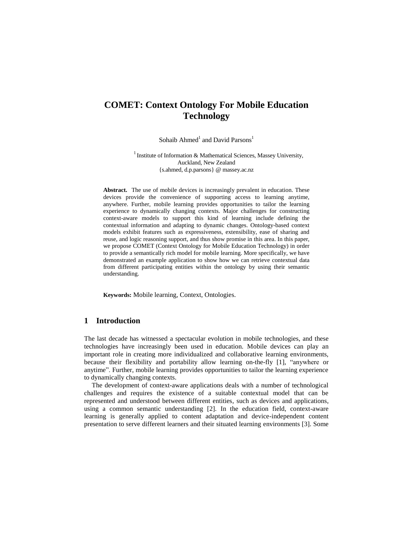# **COMET: Context Ontology For Mobile Education Technology**

Sohaib Ahmed<sup>1</sup> and David Parsons<sup>1</sup>

<sup>1</sup> Institute of Information & Mathematical Sciences, Massey University, Auckland, New Zealand {s.ahmed, d.p.parsons} @ massey.ac.nz

**Abstract.** The use of mobile devices is increasingly prevalent in education. These devices provide the convenience of supporting access to learning anytime, anywhere. Further, mobile learning provides opportunities to tailor the learning experience to dynamically changing contexts. Major challenges for constructing context-aware models to support this kind of learning include defining the contextual information and adapting to dynamic changes. Ontology-based context models exhibit features such as expressiveness, extensibility, ease of sharing and reuse, and logic reasoning support, and thus show promise in this area. In this paper, we propose COMET (Context Ontology for Mobile Education Technology) in order to provide a semantically rich model for mobile learning. More specifically, we have demonstrated an example application to show how we can retrieve contextual data from different participating entities within the ontology by using their semantic understanding.

**Keywords:** Mobile learning, Context, Ontologies.

# **1 Introduction**

The last decade has witnessed a spectacular evolution in mobile technologies, and these technologies have increasingly been used in education. Mobile devices can play an important role in creating more individualized and collaborative learning environments, because their flexibility and portability allow learning on-the-fly [1], "anywhere or anytime". Further, mobile learning provides opportunities to tailor the learning experience to dynamically changing contexts.

The development of context-aware applications deals with a number of technological challenges and requires the existence of a suitable contextual model that can be represented and understood between different entities, such as devices and applications, using a common semantic understanding [2]. In the education field, context-aware learning is generally applied to content adaptation and device-independent content presentation to serve different learners and their situated learning environments [3]. Some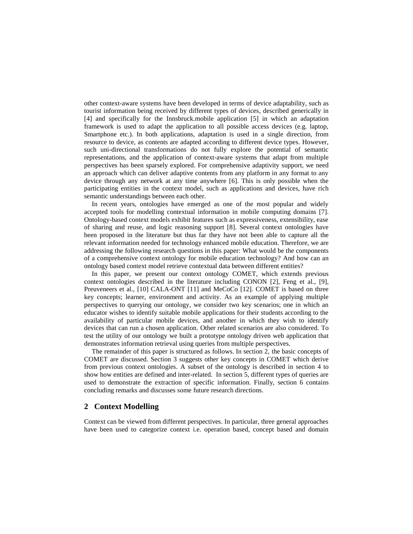other context-aware systems have been developed in terms of device adaptability, such as tourist information being received by different types of devices, described generically in [4] and specifically for the Innsbruck.mobile application [5] in which an adaptation framework is used to adapt the application to all possible access devices (e.g. laptop, Smartphone etc.). In both applications, adaptation is used in a single direction, from resource to device, as contents are adapted according to different device types. However, such uni-directional transformations do not fully explore the potential of semantic representations, and the application of context-aware systems that adapt from multiple perspectives has been sparsely explored. For comprehensive adaptivity support, we need an approach which can deliver adaptive contents from any platform in any format to any device through any network at any time anywhere [6]. This is only possible when the participating entities in the context model, such as applications and devices, have rich semantic understandings between each other.

In recent years, ontologies have emerged as one of the most popular and widely accepted tools for modelling contextual information in mobile computing domains [7]. Ontology-based context models exhibit features such as expressiveness, extensibility, ease of sharing and reuse, and logic reasoning support [8]. Several context ontologies have been proposed in the literature but thus far they have not been able to capture all the relevant information needed for technology enhanced mobile education. Therefore, we are addressing the following research questions in this paper: What would be the components of a comprehensive context ontology for mobile education technology? And how can an ontology based context model retrieve contextual data between different entities?

In this paper, we present our context ontology COMET, which extends previous context ontologies described in the literature including CONON [2], Feng et al., [9], Preuveneers et al., [10] CALA-ONT [11] and MeCoCo [12]. COMET is based on three key concepts; learner, environment and activity. As an example of applying multiple perspectives to querying our ontology, we consider two key scenarios; one in which an educator wishes to identify suitable mobile applications for their students according to the availability of particular mobile devices, and another in which they wish to identify devices that can run a chosen application. Other related scenarios are also considered. To test the utility of our ontology we built a prototype ontology driven web application that demonstrates information retrieval using queries from multiple perspectives.

The remainder of this paper is structured as follows. In section 2, the basic concepts of COMET are discussed. Section 3 suggests other key concepts in COMET which derive from previous context ontologies. A subset of the ontology is described in section 4 to show how entities are defined and inter-related. In section 5, different types of queries are used to demonstrate the extraction of specific information. Finally, section 6 contains concluding remarks and discusses some future research directions.

#### **2 Context Modelling**

Context can be viewed from different perspectives. In particular, three general approaches have been used to categorize context i.e. operation based, concept based and domain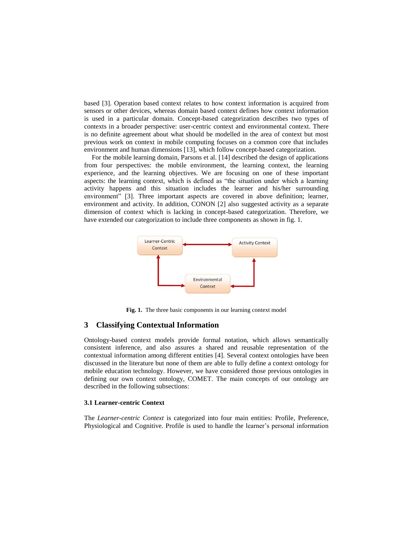based [3]. Operation based context relates to how context information is acquired from sensors or other devices, whereas domain based context defines how context information is used in a particular domain. Concept-based categorization describes two types of contexts in a broader perspective: user-centric context and environmental context. There is no definite agreement about what should be modelled in the area of context but most previous work on context in mobile computing focuses on a common core that includes environment and human dimensions [13], which follow concept-based categorization.

For the mobile learning domain, Parsons et al. [14] described the design of applications from four perspectives: the mobile environment, the learning context, the learning experience, and the learning objectives. We are focusing on one of these important aspects: the learning context, which is defined as "the situation under which a learning activity happens and this situation includes the learner and his/her surrounding environment" [3]. Three important aspects are covered in above definition; learner, environment and activity. In addition, CONON [2] also suggested activity as a separate dimension of context which is lacking in concept-based categorization. Therefore, we have extended our categorization to include three components as shown in fig. 1.



**Fig. 1.** The three basic components in our learning context model

#### **3 Classifying Contextual Information**

Ontology-based context models provide formal notation, which allows semantically consistent inference, and also assures a shared and reusable representation of the contextual information among different entities [4]. Several context ontologies have been discussed in the literature but none of them are able to fully define a context ontology for mobile education technology. However, we have considered those previous ontologies in defining our own context ontology, COMET. The main concepts of our ontology are described in the following subsections:

#### **3.1 Learner-centric Context**

The *Learner-centric Context* is categorized into four main entities: Profile, Preference, Physiological and Cognitive. Profile is used to handle the learner's personal information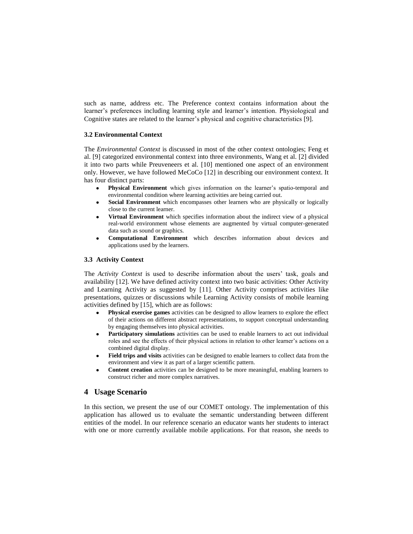such as name, address etc. The Preference context contains information about the learner's preferences including learning style and learner's intention. Physiological and Cognitive states are related to the learner's physical and cognitive characteristics [9].

#### **3.2 Environmental Context**

The *Environmental Context* is discussed in most of the other context ontologies; Feng et al. [9] categorized environmental context into three environments, Wang et al. [2] divided it into two parts while Preuveneers et al. [10] mentioned one aspect of an environment only. However, we have followed MeCoCo [12] in describing our environment context. It has four distinct parts:

- **Physical Environment** which gives information on the learner's spatio-temporal and environmental condition where learning activities are being carried out.
- **Social Environment** which encompasses other learners who are physically or logically  $\bullet$ close to the current learner.
- **Virtual Environment** which specifies information about the indirect view of a physical real-world environment whose elements are augmented by virtual computer-generated data such as sound or graphics.
- **Computational Environment** which describes information about devices and  $\bullet$ applications used by the learners.

### **3.3 Activity Context**

The *Activity Context* is used to describe information about the users' task, goals and availability [12]. We have defined activity context into two basic activities: Other Activity and Learning Activity as suggested by [11]. Other Activity comprises activities like presentations, quizzes or discussions while Learning Activity consists of mobile learning activities defined by [15], which are as follows:

- **Physical exercise games** activities can be designed to allow learners to explore the effect of their actions on different abstract representations, to support conceptual understanding by engaging themselves into physical activities.
- **Participatory simulations** activities can be used to enable learners to act out individual  $\bullet$ roles and see the effects of their physical actions in relation to other learner's actions on a combined digital display.
- **Field trips and visits** activities can be designed to enable learners to collect data from the  $\bullet$ environment and view it as part of a larger scientific pattern.
- **Content creation** activities can be designed to be more meaningful, enabling learners to  $\bullet$ construct richer and more complex narratives.

# **4 Usage Scenario**

In this section, we present the use of our COMET ontology. The implementation of this application has allowed us to evaluate the semantic understanding between different entities of the model. In our reference scenario an educator wants her students to interact with one or more currently available mobile applications. For that reason, she needs to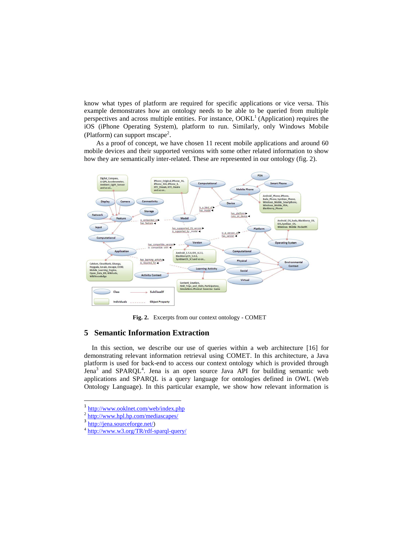know what types of platform are required for specific applications or vice versa. This example demonstrates how an ontology needs to be able to be queried from multiple perspectives and across multiple entities. For instance,  $OOKL<sup>1</sup>$  (Application) requires the iOS (iPhone Operating System), platform to run. Similarly, only Windows Mobile (Platform) can support mscape<sup>2</sup>.

As a proof of concept, we have chosen 11 recent mobile applications and around 60 mobile devices and their supported versions with some other related information to show how they are semantically inter-related. These are represented in our ontology (fig. 2).



**Fig. 2.** Excerpts from our context ontology - COMET

#### **5 Semantic Information Extraction**

In this section, we describe our use of queries within a web architecture [16] for demonstrating relevant information retrieval using COMET. In this architecture, a Java platform is used for back-end to access our context ontology which is provided through  $\bar{J}$ ena<sup>3</sup> and SPARQL<sup>4</sup>. Jena is an open source Java API for building semantic web applications and SPARQL is a query language for ontologies defined in OWL (Web Ontology Language). In this particular example, we show how relevant information is

 $\ddot{\phantom{a}}$ 

<sup>1</sup> <http://www.ooklnet.com/web/index.php>

 $\frac{2 \text{ http://www.hpl.hp.com/mediascapes/}}{3 \text{ http://spc.scurveference net/}}$  $\frac{2 \text{ http://www.hpl.hp.com/mediascapes/}}{3 \text{ http://spc.scurveference net/}}$  $\frac{2 \text{ http://www.hpl.hp.com/mediascapes/}}{3 \text{ http://spc.scurveference net/}}$ 

[http://jena.sourceforge.net/\)](http://jena.sourceforge.net/)

<sup>4</sup> <http://www.w3.org/TR/rdf-sparql-query/>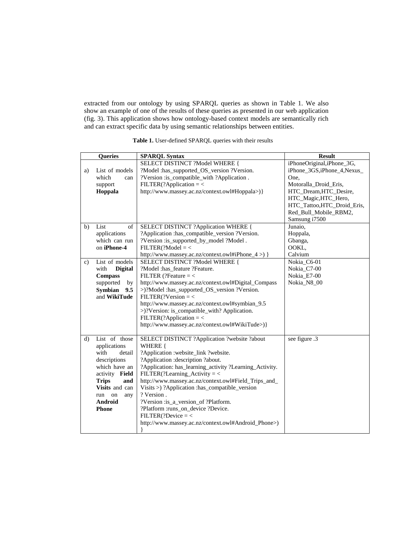extracted from our ontology by using SPARQL queries as shown in Table 1. We also show an example of one of the results of these queries as presented in our web application (fig. 3). This application shows how ontology-based context models are semantically rich and can extract specific data by using semantic relationships between entities.

|              | Queries                        | <b>SPARQL Syntax</b>                                    | <b>Result</b>              |
|--------------|--------------------------------|---------------------------------------------------------|----------------------------|
|              |                                | SELECT DISTINCT ?Model WHERE {                          | iPhoneOriginal,iPhone_3G,  |
| a)           | List of models                 | ?Model :has_supported_OS_version ?Version.              | iPhone_3GS,iPhone_4,Nexus_ |
|              | which<br>can                   | ?Version :is_compatible_with ?Application.              | One.                       |
|              | support                        | $FILTER$ (?Application = <                              | Motoralla_Droid_Eris,      |
|              | Hoppala                        | http://www.massey.ac.nz/context.owl#Hoppala>)}          | HTC_Dream, HTC_Desire,     |
|              |                                |                                                         | HTC_Magic,HTC_Hero,        |
|              |                                |                                                         | HTC_Tattoo,HTC_Droid_Eris, |
|              |                                |                                                         | Red_Bull_Mobile_RBM2,      |
|              |                                |                                                         | Samsung i7500              |
| b)           | List<br>of                     | SELECT DISTINCT ?Application WHERE {                    | Junaio,                    |
|              | applications                   | ?Application :has_compatible_version ?Version.          | Hoppala,                   |
|              | which can run                  | ?Version :is_supported_by_model ?Model.                 | Gbanga,                    |
|              | on iPhone-4                    | $FILTER$ (?Model = <                                    | OOKL,                      |
|              |                                | http://www.massey.ac.nz/context.owl#iPhone_4 >) }       | Calvium                    |
| C)           | List of models                 | SELECT DISTINCT ?Model WHERE {                          | Nokia_C6-01                |
|              | <b>Digital</b><br>with         | ?Model :has feature ?Feature.                           | Nokia C7-00                |
|              | <b>Compass</b>                 | FILTER (?Feature $=$ <                                  | Nokia E7-00                |
|              | supported<br>by                | http://www.massey.ac.nz/context.owl#Digital_Compass     | Nokia_N8_00                |
|              | <b>Symbian</b><br>9.5          | >)?Model :has_supported_OS_version ?Version.            |                            |
|              | and WikiTude                   | $FILTER$ (?Version = <                                  |                            |
|              |                                | http://www.massey.ac.nz/context.owl#symbian_9.5         |                            |
|              |                                | >)?Version: is_compatible_with? Application.            |                            |
|              |                                | $FILTER$ (?Application = <                              |                            |
|              |                                | http://www.massey.ac.nz/context.owl#WikiTude>)}         |                            |
|              |                                |                                                         |                            |
| $\mathbf{d}$ | List of those                  | SELECT DISTINCT ?Application ?website ?about            | see figure .3              |
|              | applications<br>with<br>detail | WHERE {<br>?Application :website_link ?website.         |                            |
|              | descriptions                   | ?Application :description ?about.                       |                            |
|              | which have an                  | ?Application: has_learning_activity ?Learning_Activity. |                            |
|              | activity Field                 | $FILTER$ (?Learning_Activity = <                        |                            |
|              | <b>Trips</b><br>and            | http://www.massey.ac.nz/context.owl#Field_Trips_and_    |                            |
|              | Visits and can                 | Visits >) ?Application :has_compatible_version          |                            |
|              | on<br>run<br>any               | ? Version.                                              |                            |
|              | Android                        | ?Version :is_a_version_of ?Platform.                    |                            |
|              | <b>Phone</b>                   | ?Platform :runs_on_device ?Device.                      |                            |
|              |                                | $FILTER$ (?Device = <                                   |                            |
|              |                                | http://www.massey.ac.nz/context.owl#Android_Phone>)     |                            |
|              |                                |                                                         |                            |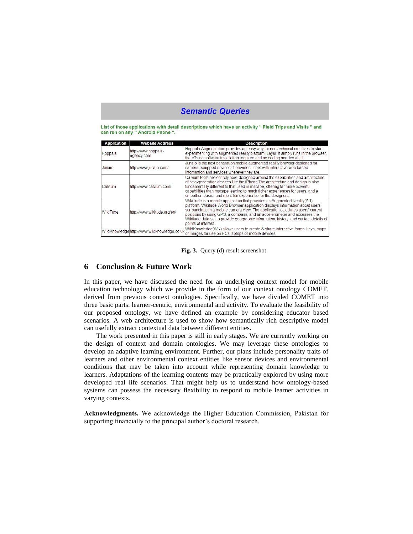# **Semantic Queries**

List of those applications with detail descriptions which have an activity " Field Trips and Visits " and can run on any " Android Phone ".

| <b>Application</b> | <b>Website Address</b>                      | <b>Description</b>                                                                                                                                                                                                                                                                                                                                                                                                                       |
|--------------------|---------------------------------------------|------------------------------------------------------------------------------------------------------------------------------------------------------------------------------------------------------------------------------------------------------------------------------------------------------------------------------------------------------------------------------------------------------------------------------------------|
| Hoppala            | http://www.hoppala-<br>agency.com           | Hoppala Augmentation provides an easy way for non-technical creatives to start<br>experimenting with augmented reality platform. Layar, It simply runs in the browser.<br>there?s no software installation required and no coding needed at all.                                                                                                                                                                                         |
| Junaio             | http://www.junaio.com/                      | Junaio is the next generation mobile augmented reality browser designed for<br>camera equipped devices. It provides users with interactive web based<br>linformation and services wherever they are.                                                                                                                                                                                                                                     |
| Calvium            | http://www.calvium.com/                     | Calvium tools are entirely new, designed around the capabilities and architecture<br>of next-generation devices like the iPhone. The architecture and design is also<br>fundamentally different to that used in mscape, offering far more powerful<br>capabilities than mscape leading to much richer experiences for users, and a<br>smoother, easier and more fun experience for the designers.                                        |
| WikiTude           | http://www.wikitude.org/en/                 | WikiTude is a mobile application that provides an Augmented Reality (AR)<br>platform. Wikitude World Browser application displays information about users'<br>surroundings in a mobile camera view. The application calculates users' current<br>positions by using GPS, a compass, and an accelerometer and accesses the<br>Wikitude data set to provide geographic information, history, and contact details of<br>points of interest. |
|                    | WildKnowledgehttp://www.wildknowledge.co.uk | WildKnowledge(WK) allows users to create & share interactive forms, keys, maps<br>or images for use on PCs laptops or mobile devices.                                                                                                                                                                                                                                                                                                    |

**Fig. 3.** Query (d) result screenshot

## **6 Conclusion & Future Work**

In this paper, we have discussed the need for an underlying context model for mobile education technology which we provide in the form of our context ontology COMET, derived from previous context ontologies. Specifically, we have divided COMET into three basic parts: learner-centric, environmental and activity. To evaluate the feasibility of our proposed ontology, we have defined an example by considering educator based scenarios. A web architecture is used to show how semantically rich descriptive model can usefully extract contextual data between different entities.

The work presented in this paper is still in early stages. We are currently working on the design of context and domain ontologies. We may leverage these ontologies to develop an adaptive learning environment. Further, our plans include personality traits of learners and other environmental context entities like sensor devices and environmental conditions that may be taken into account while representing domain knowledge to learners. Adaptations of the learning contents may be practically explored by using more developed real life scenarios. That might help us to understand how ontology-based systems can possess the necessary flexibility to respond to mobile learner activities in varying contexts.

**Acknowledgments.** We acknowledge the Higher Education Commission, Pakistan for supporting financially to the principal author's doctoral research.